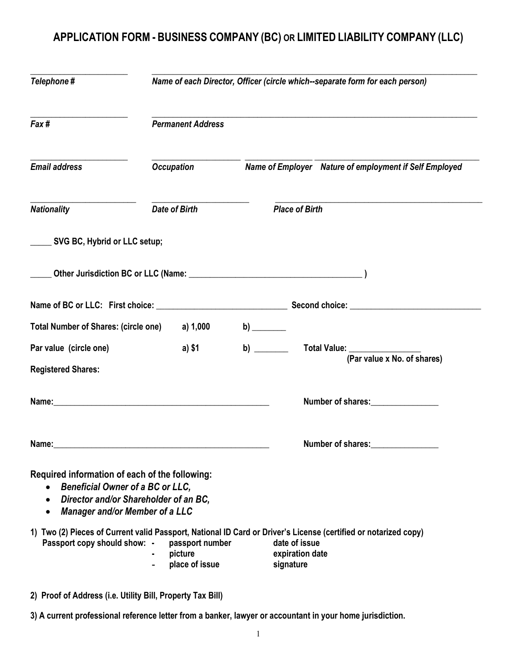## APPLICATION FORM - BUSINESS COMPANY (BC) OR LIMITED LIABILITY COMPANY (LLC)

| Telephone #                                                                                                                                                                 | Name of each Director, Officer (circle which--separate form for each person) |                                                                                                                                                                  |  |  |
|-----------------------------------------------------------------------------------------------------------------------------------------------------------------------------|------------------------------------------------------------------------------|------------------------------------------------------------------------------------------------------------------------------------------------------------------|--|--|
| Fax #                                                                                                                                                                       | <b>Permanent Address</b>                                                     |                                                                                                                                                                  |  |  |
| <b>Email address</b>                                                                                                                                                        | <b>Occupation</b>                                                            | Name of Employer Nature of employment if Self Employed                                                                                                           |  |  |
| <b>Nationality</b>                                                                                                                                                          | <b>Date of Birth</b>                                                         | <b>Place of Birth</b>                                                                                                                                            |  |  |
| SVG BC, Hybrid or LLC setup;                                                                                                                                                |                                                                              |                                                                                                                                                                  |  |  |
|                                                                                                                                                                             |                                                                              |                                                                                                                                                                  |  |  |
|                                                                                                                                                                             |                                                                              |                                                                                                                                                                  |  |  |
| Total Number of Shares: (circle one) a) 1,000                                                                                                                               |                                                                              | b) $\qquad \qquad$                                                                                                                                               |  |  |
| Par value (circle one)<br><b>Registered Shares:</b>                                                                                                                         | a) \$1                                                                       | b) $\qquad$<br>Total Value: <u>__________________</u><br>(Par value x No. of shares)                                                                             |  |  |
|                                                                                                                                                                             |                                                                              | Number of shares:                                                                                                                                                |  |  |
| Name:                                                                                                                                                                       |                                                                              | <b>Number of shares:</b>                                                                                                                                         |  |  |
| Required information of each of the following:<br><b>Beneficial Owner of a BC or LLC,</b><br>Director and/or Shareholder of an BC,<br><b>Manager and/or Member of a LLC</b> |                                                                              |                                                                                                                                                                  |  |  |
| Passport copy should show: -                                                                                                                                                | passport number<br>picture<br>place of issue                                 | 1) Two (2) Pieces of Current valid Passport, National ID Card or Driver's License (certified or notarized copy)<br>date of issue<br>expiration date<br>signature |  |  |

2) Proof of Address (i.e. Utility Bill, Property Tax Bill)

3) A current professional reference letter from a banker, lawyer or accountant in your home jurisdiction.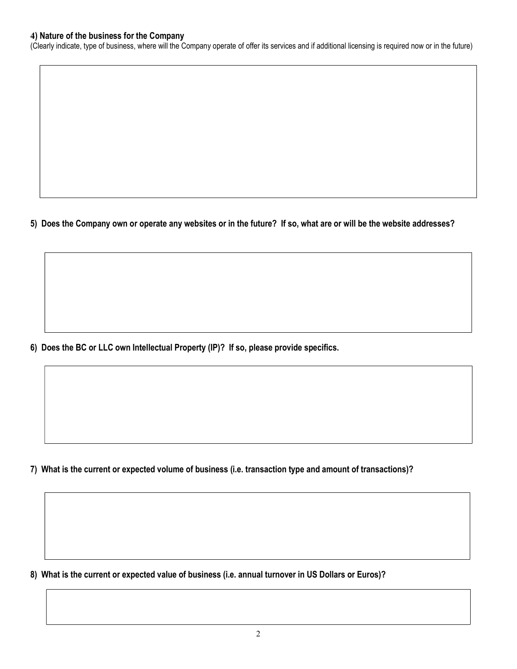## 4) Nature of the business for the Company

(Clearly indicate, type of business, where will the Company operate of offer its services and if additional licensing is required now or in the future)

5) Does the Company own or operate any websites or in the future? If so, what are or will be the website addresses?

6) Does the BC or LLC own Intellectual Property (IP)? If so, please provide specifics.

7) What is the current or expected volume of business (i.e. transaction type and amount of transactions)?

8) What is the current or expected value of business (i.e. annual turnover in US Dollars or Euros)?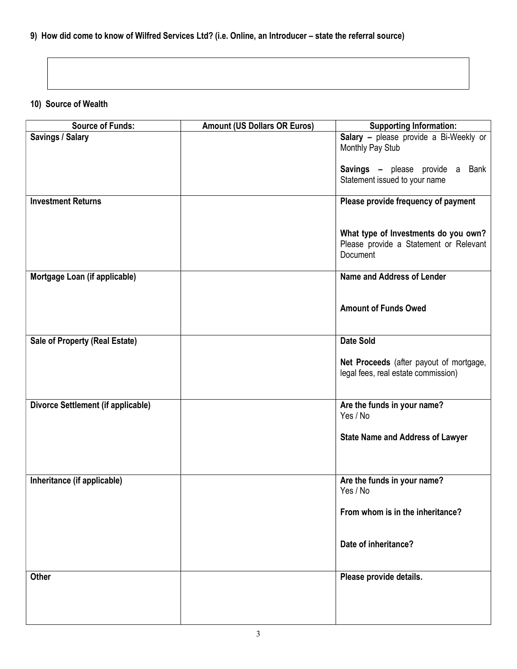## 9) How did come to know of Wilfred Services Ltd? (i.e. Online, an Introducer – state the referral source)

## 10) Source of Wealth

| <b>Source of Funds:</b>                   | <b>Amount (US Dollars OR Euros)</b> | <b>Supporting Information:</b>                                                             |
|-------------------------------------------|-------------------------------------|--------------------------------------------------------------------------------------------|
| Savings / Salary                          |                                     | Salary - please provide a Bi-Weekly or<br>Monthly Pay Stub                                 |
|                                           |                                     | Savings - please provide a<br>Bank<br>Statement issued to your name                        |
| <b>Investment Returns</b>                 |                                     | Please provide frequency of payment                                                        |
|                                           |                                     | What type of Investments do you own?<br>Please provide a Statement or Relevant<br>Document |
| Mortgage Loan (if applicable)             |                                     | Name and Address of Lender                                                                 |
|                                           |                                     | <b>Amount of Funds Owed</b>                                                                |
| Sale of Property (Real Estate)            |                                     | <b>Date Sold</b>                                                                           |
|                                           |                                     | Net Proceeds (after payout of mortgage,<br>legal fees, real estate commission)             |
| <b>Divorce Settlement (if applicable)</b> |                                     | Are the funds in your name?<br>Yes / No                                                    |
|                                           |                                     | <b>State Name and Address of Lawyer</b>                                                    |
| Inheritance (if applicable)               |                                     | Are the funds in your name?<br>Yes / No                                                    |
|                                           |                                     | From whom is in the inheritance?                                                           |
|                                           |                                     | Date of inheritance?                                                                       |
| <b>Other</b>                              |                                     | Please provide details.                                                                    |